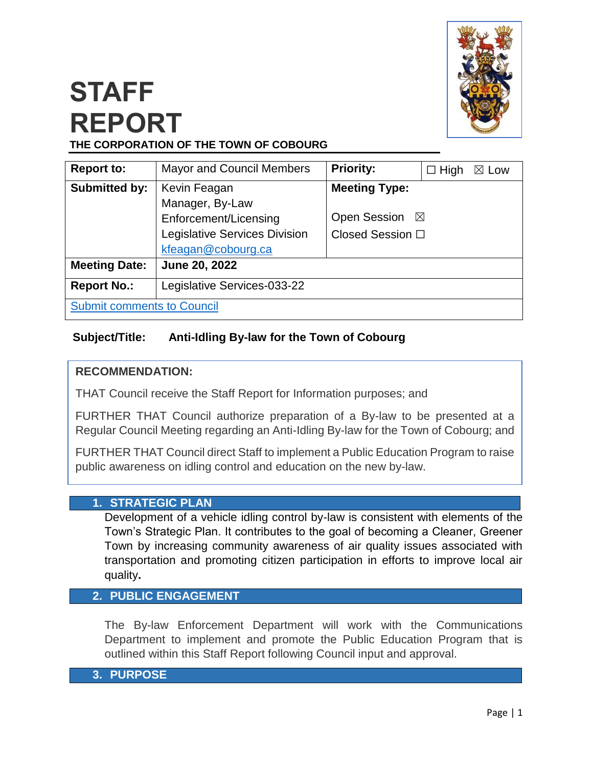

# **STAFF REPORT THE CORPORATION OF THE TOWN OF COBOURG**

| <b>Report to:</b>                 | <b>Mayor and Council Members</b>     | <b>Priority:</b>                   | $\Box$ High<br>$\boxtimes$ Low |  |
|-----------------------------------|--------------------------------------|------------------------------------|--------------------------------|--|
| <b>Submitted by:</b>              | Kevin Feagan                         | <b>Meeting Type:</b>               |                                |  |
|                                   | Manager, By-Law                      |                                    |                                |  |
|                                   | Enforcement/Licensing                | <b>Open Session</b><br>$\boxtimes$ |                                |  |
|                                   | <b>Legislative Services Division</b> | Closed Session □                   |                                |  |
|                                   | kfeagan@cobourg.ca                   |                                    |                                |  |
| <b>Meeting Date:</b>              | June 20, 2022                        |                                    |                                |  |
| <b>Report No.:</b>                | Legislative Services-033-22          |                                    |                                |  |
| <b>Submit comments to Council</b> |                                      |                                    |                                |  |

# **Subject/Title: Anti-Idling By-law for the Town of Cobourg**

### **RECOMMENDATION:**

THAT Council receive the Staff Report for Information purposes; and

FURTHER THAT Council authorize preparation of a By-law to be presented at a Regular Council Meeting regarding an Anti-Idling By-law for the Town of Cobourg; and

FURTHER THAT Council direct Staff to implement a Public Education Program to raise public awareness on idling control and education on the new by-law.

#### **1. STRATEGIC PLAN**

Development of a vehicle idling control by-law is consistent with elements of the Town's Strategic Plan. It contributes to the goal of becoming a Cleaner, Greener Town by increasing community awareness of air quality issues associated with transportation and promoting citizen participation in efforts to improve local air quality**.**

#### **2. PUBLIC ENGAGEMENT**

The By-law Enforcement Department will work with the Communications Department to implement and promote the Public Education Program that is outlined within this Staff Report following Council input and approval.

#### **3. PURPOSE**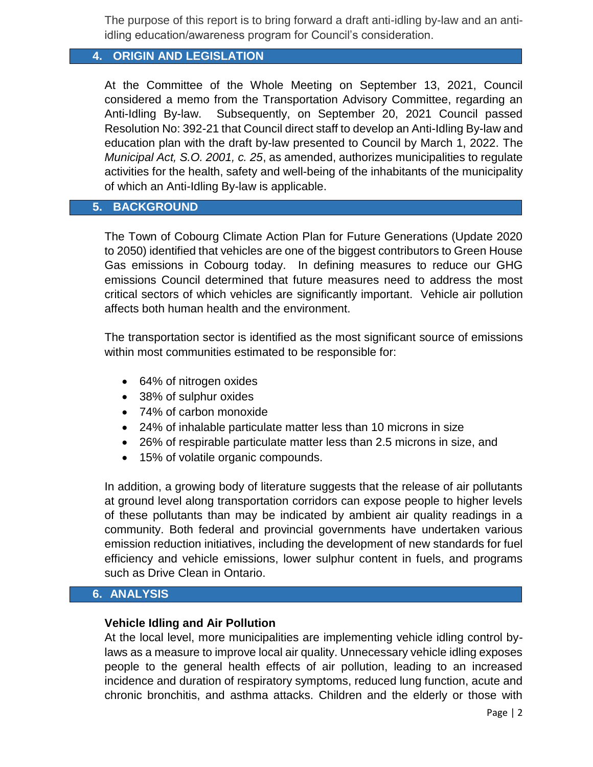The purpose of this report is to bring forward a draft anti-idling by-law and an antiidling education/awareness program for Council's consideration.

# **4. ORIGIN AND LEGISLATION**

At the Committee of the Whole Meeting on September 13, 2021, Council considered a memo from the Transportation Advisory Committee, regarding an Anti-Idling By-law. Subsequently, on September 20, 2021 Council passed Resolution No: 392-21 that Council direct staff to develop an Anti-Idling By-law and education plan with the draft by-law presented to Council by March 1, 2022. The *Municipal Act, S.O. 2001, c. 25*, as amended, authorizes municipalities to regulate activities for the health, safety and well-being of the inhabitants of the municipality of which an Anti-Idling By-law is applicable.

#### **5. BACKGROUND**

The Town of Cobourg Climate Action Plan for Future Generations (Update 2020 to 2050) identified that vehicles are one of the biggest contributors to Green House Gas emissions in Cobourg today. In defining measures to reduce our GHG emissions Council determined that future measures need to address the most critical sectors of which vehicles are significantly important. Vehicle air pollution affects both human health and the environment.

The transportation sector is identified as the most significant source of emissions within most communities estimated to be responsible for:

- 64% of nitrogen oxides
- 38% of sulphur oxides
- 74% of carbon monoxide
- 24% of inhalable particulate matter less than 10 microns in size
- 26% of respirable particulate matter less than 2.5 microns in size, and
- 15% of volatile organic compounds.

In addition, a growing body of literature suggests that the release of air pollutants at ground level along transportation corridors can expose people to higher levels of these pollutants than may be indicated by ambient air quality readings in a community. Both federal and provincial governments have undertaken various emission reduction initiatives, including the development of new standards for fuel efficiency and vehicle emissions, lower sulphur content in fuels, and programs such as Drive Clean in Ontario.

#### **6. ANALYSIS**

#### **Vehicle Idling and Air Pollution**

At the local level, more municipalities are implementing vehicle idling control bylaws as a measure to improve local air quality. Unnecessary vehicle idling exposes people to the general health effects of air pollution, leading to an increased incidence and duration of respiratory symptoms, reduced lung function, acute and chronic bronchitis, and asthma attacks. Children and the elderly or those with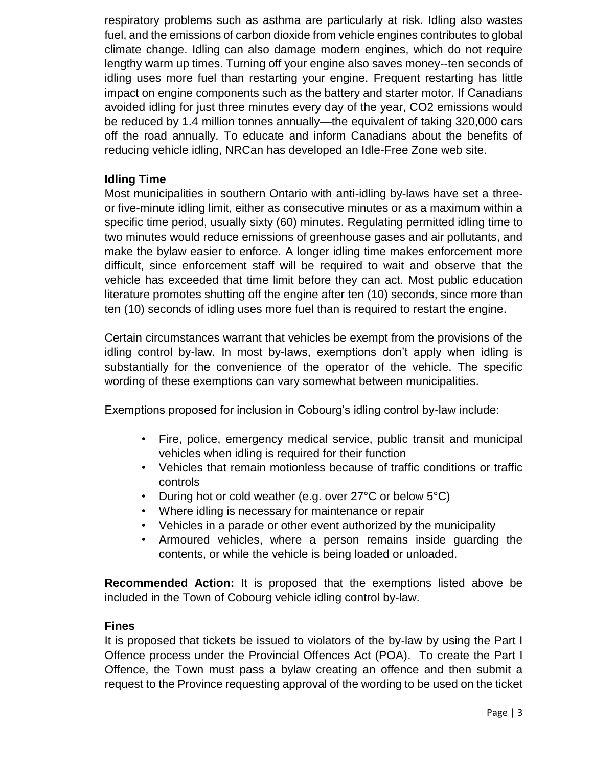respiratory problems such as asthma are particularly at risk. Idling also wastes fuel, and the emissions of carbon dioxide from vehicle engines contributes to global climate change. Idling can also damage modern engines, which do not require lengthy warm up times. Turning off your engine also saves money--ten seconds of idling uses more fuel than restarting your engine. Frequent restarting has little impact on engine components such as the battery and starter motor. If Canadians avoided idling for just three minutes every day of the year, CO2 emissions would be reduced by 1.4 million tonnes annually—the equivalent of taking 320,000 cars off the road annually. To educate and inform Canadians about the benefits of reducing vehicle idling, NRCan has developed an Idle-Free Zone web site.

#### **Idling Time**

Most municipalities in southern Ontario with anti-idling by-laws have set a threeor five-minute idling limit, either as consecutive minutes or as a maximum within a specific time period, usually sixty (60) minutes. Regulating permitted idling time to two minutes would reduce emissions of greenhouse gases and air pollutants, and make the bylaw easier to enforce. A longer idling time makes enforcement more difficult, since enforcement staff will be required to wait and observe that the vehicle has exceeded that time limit before they can act. Most public education literature promotes shutting off the engine after ten (10) seconds, since more than ten (10) seconds of idling uses more fuel than is required to restart the engine.

Certain circumstances warrant that vehicles be exempt from the provisions of the idling control by-law. In most by-laws, exemptions don't apply when idling is substantially for the convenience of the operator of the vehicle. The specific wording of these exemptions can vary somewhat between municipalities.

Exemptions proposed for inclusion in Cobourg's idling control by-law include:

- Fire, police, emergency medical service, public transit and municipal vehicles when idling is required for their function
- Vehicles that remain motionless because of traffic conditions or traffic controls
- During hot or cold weather (e.g. over 27°C or below 5°C)
- Where idling is necessary for maintenance or repair
- Vehicles in a parade or other event authorized by the municipality
- Armoured vehicles, where a person remains inside guarding the contents, or while the vehicle is being loaded or unloaded.

**Recommended Action:** It is proposed that the exemptions listed above be included in the Town of Cobourg vehicle idling control by-law.

#### **Fines**

It is proposed that tickets be issued to violators of the by-law by using the Part I Offence process under the Provincial Offences Act (POA). To create the Part I Offence, the Town must pass a bylaw creating an offence and then submit a request to the Province requesting approval of the wording to be used on the ticket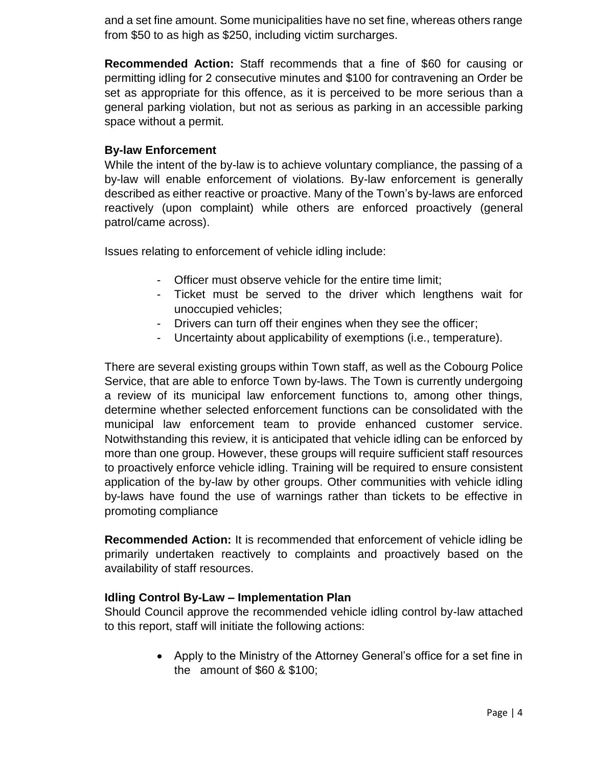and a set fine amount. Some municipalities have no set fine, whereas others range from \$50 to as high as \$250, including victim surcharges.

**Recommended Action:** Staff recommends that a fine of \$60 for causing or permitting idling for 2 consecutive minutes and \$100 for contravening an Order be set as appropriate for this offence, as it is perceived to be more serious than a general parking violation, but not as serious as parking in an accessible parking space without a permit.

### **By-law Enforcement**

While the intent of the by-law is to achieve voluntary compliance, the passing of a by-law will enable enforcement of violations. By-law enforcement is generally described as either reactive or proactive. Many of the Town's by-laws are enforced reactively (upon complaint) while others are enforced proactively (general patrol/came across).

Issues relating to enforcement of vehicle idling include:

- Officer must observe vehicle for the entire time limit;
- Ticket must be served to the driver which lengthens wait for unoccupied vehicles;
- Drivers can turn off their engines when they see the officer;
- Uncertainty about applicability of exemptions (i.e., temperature).

There are several existing groups within Town staff, as well as the Cobourg Police Service, that are able to enforce Town by-laws. The Town is currently undergoing a review of its municipal law enforcement functions to, among other things, determine whether selected enforcement functions can be consolidated with the municipal law enforcement team to provide enhanced customer service. Notwithstanding this review, it is anticipated that vehicle idling can be enforced by more than one group. However, these groups will require sufficient staff resources to proactively enforce vehicle idling. Training will be required to ensure consistent application of the by-law by other groups. Other communities with vehicle idling by-laws have found the use of warnings rather than tickets to be effective in promoting compliance

**Recommended Action:** It is recommended that enforcement of vehicle idling be primarily undertaken reactively to complaints and proactively based on the availability of staff resources.

#### **Idling Control By-Law – Implementation Plan**

Should Council approve the recommended vehicle idling control by-law attached to this report, staff will initiate the following actions:

> Apply to the Ministry of the Attorney General's office for a set fine in the amount of \$60 & \$100;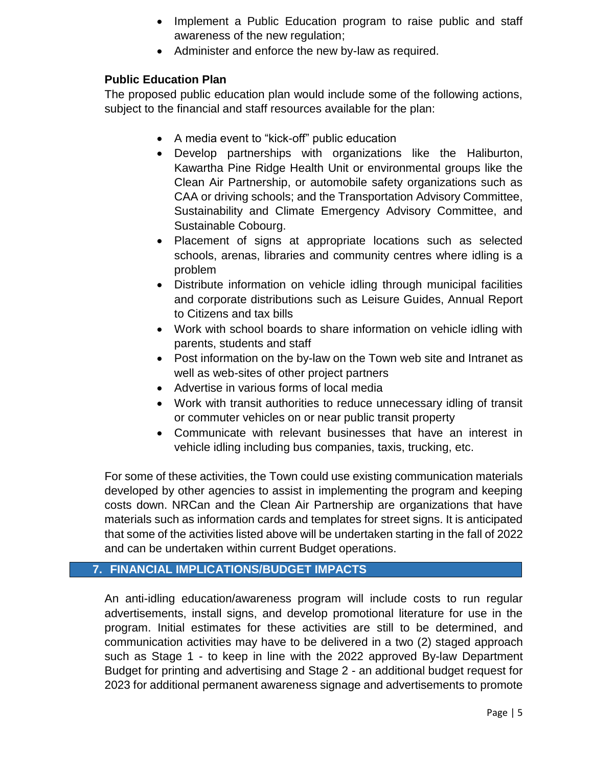- Implement a Public Education program to raise public and staff awareness of the new regulation;
- Administer and enforce the new by-law as required.

## **Public Education Plan**

The proposed public education plan would include some of the following actions, subject to the financial and staff resources available for the plan:

- A media event to "kick-off" public education
- Develop partnerships with organizations like the Haliburton, Kawartha Pine Ridge Health Unit or environmental groups like the Clean Air Partnership, or automobile safety organizations such as CAA or driving schools; and the Transportation Advisory Committee, Sustainability and Climate Emergency Advisory Committee, and Sustainable Cobourg.
- Placement of signs at appropriate locations such as selected schools, arenas, libraries and community centres where idling is a problem
- Distribute information on vehicle idling through municipal facilities and corporate distributions such as Leisure Guides, Annual Report to Citizens and tax bills
- Work with school boards to share information on vehicle idling with parents, students and staff
- Post information on the by-law on the Town web site and Intranet as well as web-sites of other project partners
- Advertise in various forms of local media
- Work with transit authorities to reduce unnecessary idling of transit or commuter vehicles on or near public transit property
- Communicate with relevant businesses that have an interest in vehicle idling including bus companies, taxis, trucking, etc.

For some of these activities, the Town could use existing communication materials developed by other agencies to assist in implementing the program and keeping costs down. NRCan and the Clean Air Partnership are organizations that have materials such as information cards and templates for street signs. It is anticipated that some of the activities listed above will be undertaken starting in the fall of 2022 and can be undertaken within current Budget operations.

## **7. FINANCIAL IMPLICATIONS/BUDGET IMPACTS**

An anti-idling education/awareness program will include costs to run regular advertisements, install signs, and develop promotional literature for use in the program. Initial estimates for these activities are still to be determined, and communication activities may have to be delivered in a two (2) staged approach such as Stage 1 - to keep in line with the 2022 approved By-law Department Budget for printing and advertising and Stage 2 - an additional budget request for 2023 for additional permanent awareness signage and advertisements to promote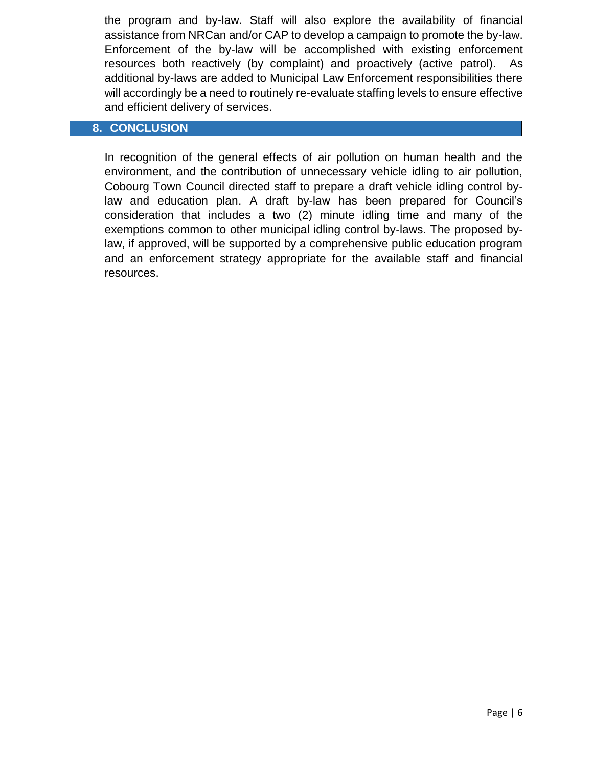the program and by-law. Staff will also explore the availability of financial assistance from NRCan and/or CAP to develop a campaign to promote the by-law. Enforcement of the by-law will be accomplished with existing enforcement resources both reactively (by complaint) and proactively (active patrol). As additional by-laws are added to Municipal Law Enforcement responsibilities there will accordingly be a need to routinely re-evaluate staffing levels to ensure effective and efficient delivery of services.

#### **8. CONCLUSION**

In recognition of the general effects of air pollution on human health and the environment, and the contribution of unnecessary vehicle idling to air pollution, Cobourg Town Council directed staff to prepare a draft vehicle idling control bylaw and education plan. A draft by-law has been prepared for Council's consideration that includes a two (2) minute idling time and many of the exemptions common to other municipal idling control by-laws. The proposed bylaw, if approved, will be supported by a comprehensive public education program and an enforcement strategy appropriate for the available staff and financial resources.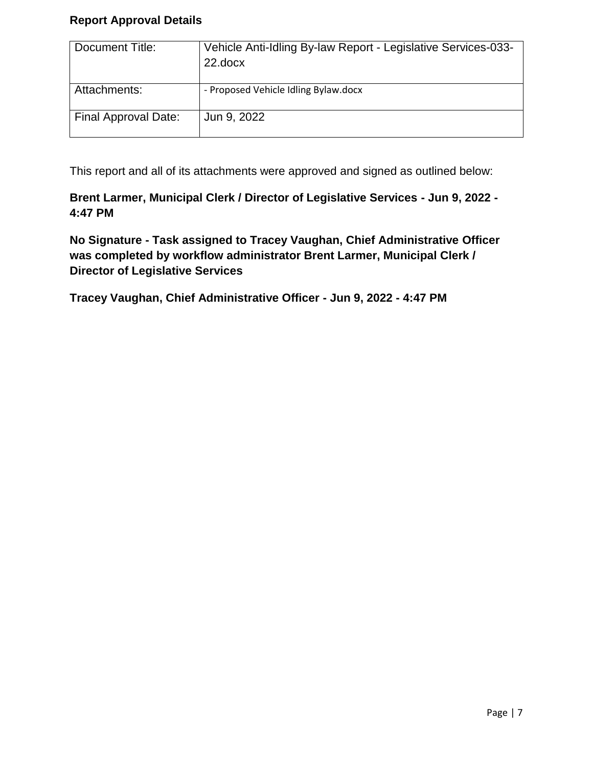## **Report Approval Details**

| Document Title:      | Vehicle Anti-Idling By-law Report - Legislative Services-033-<br>22.docx |
|----------------------|--------------------------------------------------------------------------|
| Attachments:         | - Proposed Vehicle Idling Bylaw.docx                                     |
| Final Approval Date: | Jun 9, 2022                                                              |

This report and all of its attachments were approved and signed as outlined below:

**Brent Larmer, Municipal Clerk / Director of Legislative Services - Jun 9, 2022 - 4:47 PM**

**No Signature - Task assigned to Tracey Vaughan, Chief Administrative Officer was completed by workflow administrator Brent Larmer, Municipal Clerk / Director of Legislative Services**

**Tracey Vaughan, Chief Administrative Officer - Jun 9, 2022 - 4:47 PM**